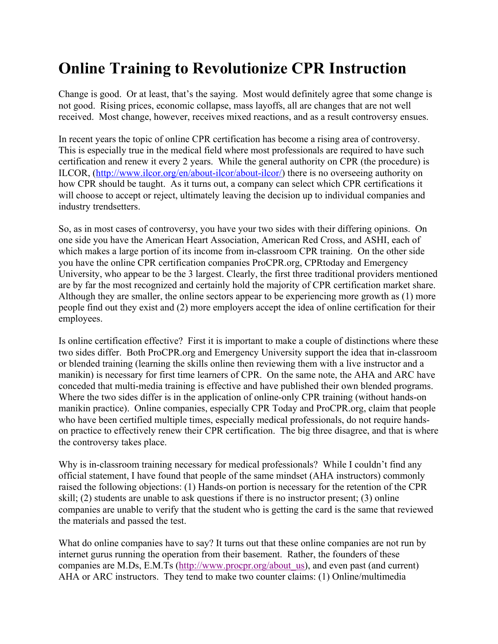## **Online Training to Revolutionize CPR Instruction**

Change is good. Or at least, that's the saying. Most would definitely agree that some change is not good. Rising prices, economic collapse, mass layoffs, all are changes that are not well received. Most change, however, receives mixed reactions, and as a result controversy ensues.

In recent years the topic of online CPR certification has become a rising area of controversy. This is especially true in the medical field where most professionals are required to have such certification and renew it every 2 years. While the general authority on CPR (the procedure) is ILCOR, (http://www.ilcor.org/en/about-ilcor/about-ilcor/) there is no overseeing authority on how CPR should be taught. As it turns out, a company can select which CPR certifications it will choose to accept or reject, ultimately leaving the decision up to individual companies and industry trendsetters.

So, as in most cases of controversy, you have your two sides with their differing opinions. On one side you have the American Heart Association, American Red Cross, and ASHI, each of which makes a large portion of its income from in-classroom CPR training. On the other side you have the online CPR certification companies ProCPR.org, CPRtoday and Emergency University, who appear to be the 3 largest. Clearly, the first three traditional providers mentioned are by far the most recognized and certainly hold the majority of CPR certification market share. Although they are smaller, the online sectors appear to be experiencing more growth as (1) more people find out they exist and (2) more employers accept the idea of online certification for their employees.

Is online certification effective? First it is important to make a couple of distinctions where these two sides differ. Both ProCPR.org and Emergency University support the idea that in-classroom or blended training (learning the skills online then reviewing them with a live instructor and a manikin) is necessary for first time learners of CPR. On the same note, the AHA and ARC have conceded that multi-media training is effective and have published their own blended programs. Where the two sides differ is in the application of online-only CPR training (without hands-on manikin practice). Online companies, especially CPR Today and ProCPR.org, claim that people who have been certified multiple times, especially medical professionals, do not require handson practice to effectively renew their CPR certification. The big three disagree, and that is where the controversy takes place.

Why is in-classroom training necessary for medical professionals? While I couldn't find any official statement, I have found that people of the same mindset (AHA instructors) commonly raised the following objections: (1) Hands-on portion is necessary for the retention of the CPR skill; (2) students are unable to ask questions if there is no instructor present; (3) online companies are unable to verify that the student who is getting the card is the same that reviewed the materials and passed the test.

What do online companies have to say? It turns out that these online companies are not run by internet gurus running the operation from their basement. Rather, the founders of these companies are M.Ds, E.M.Ts (http://www.procpr.org/about\_us), and even past (and current) AHA or ARC instructors. They tend to make two counter claims: (1) Online/multimedia